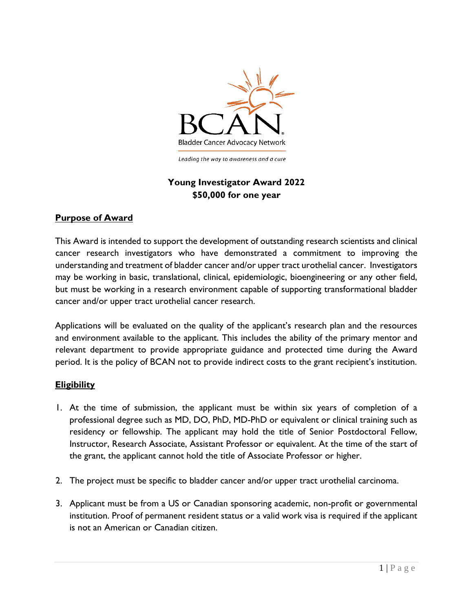

Leading the way to awareness and a cure

# **Young Investigator Award 2022 \$50,000 for one year**

#### **Purpose of Award**

This Award is intended to support the development of outstanding research scientists and clinical cancer research investigators who have demonstrated a commitment to improving the understanding and treatment of bladder cancer and/or upper tract urothelial cancer. Investigators may be working in basic, translational, clinical, epidemiologic, bioengineering or any other field, but must be working in a research environment capable of supporting transformational bladder cancer and/or upper tract urothelial cancer research.

Applications will be evaluated on the quality of the applicant's research plan and the resources and environment available to the applicant. This includes the ability of the primary mentor and relevant department to provide appropriate guidance and protected time during the Award period. It is the policy of BCAN not to provide indirect costs to the grant recipient's institution.

## **Eligibility**

- 1. At the time of submission, the applicant must be within six years of completion of a professional degree such as MD, DO, PhD, MD-PhD or equivalent or clinical training such as residency or fellowship. The applicant may hold the title of Senior Postdoctoral Fellow, Instructor, Research Associate, Assistant Professor or equivalent. At the time of the start of the grant, the applicant cannot hold the title of Associate Professor or higher.
- 2. The project must be specific to bladder cancer and/or upper tract urothelial carcinoma.
- 3. Applicant must be from a US or Canadian sponsoring academic, non-profit or governmental institution. Proof of permanent resident status or a valid work visa is required if the applicant is not an American or Canadian citizen.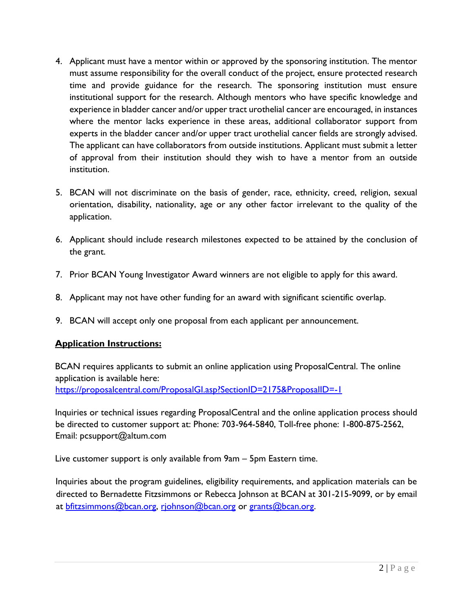- 4. Applicant must have a mentor within or approved by the sponsoring institution. The mentor must assume responsibility for the overall conduct of the project, ensure protected research time and provide guidance for the research. The sponsoring institution must ensure institutional support for the research. Although mentors who have specific knowledge and experience in bladder cancer and/or upper tract urothelial cancer are encouraged, in instances where the mentor lacks experience in these areas, additional collaborator support from experts in the bladder cancer and/or upper tract urothelial cancer fields are strongly advised. The applicant can have collaborators from outside institutions. Applicant must submit a letter of approval from their institution should they wish to have a mentor from an outside institution.
- 5. BCAN will not discriminate on the basis of gender, race, ethnicity, creed, religion, sexual orientation, disability, nationality, age or any other factor irrelevant to the quality of the application.
- 6. Applicant should include research milestones expected to be attained by the conclusion of the grant.
- 7. Prior BCAN Young Investigator Award winners are not eligible to apply for this award.
- 8. Applicant may not have other funding for an award with significant scientific overlap.
- 9. BCAN will accept only one proposal from each applicant per announcement.

## **Application Instructions:**

BCAN requires applicants to submit an online application using ProposalCentral. The online application is available here: <https://proposalcentral.com/ProposalGI.asp?SectionID=2175&ProposalID=-1>

Inquiries or technical issues regarding ProposalCentral and the online application process should be directed to customer support at: Phone: 703-964-5840, Toll-free phone: 1-800-875-2562, Email: pcsupport@altum.com

Live customer support is only available from 9am – 5pm Eastern time.

Inquiries about the program guidelines, eligibility requirements, and application materials can be directed to Bernadette Fitzsimmons or Rebecca Johnson at BCAN at 301-215-9099, or by email at [bfitzsimmons@bcan.org,](mailto:bfitzsimmons@bcan.org) [rjohnson@bcan.org](mailto:rjohnson@bcan.org) or [grants@bcan.org.](mailto:grants@bcan.org)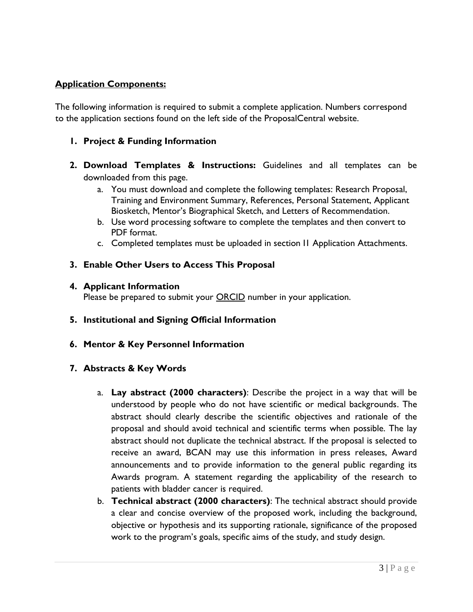#### **Application Components:**

The following information is required to submit a complete application. Numbers correspond to the application sections found on the left side of the ProposalCentral website.

#### **1. Project & Funding Information**

- **2. Download Templates & Instructions:** Guidelines and all templates can be downloaded from this page.
	- a. You must download and complete the following templates: Research Proposal, Training and Environment Summary, References, Personal Statement, Applicant Biosketch, Mentor's Biographical Sketch, and Letters of Recommendation.
	- b. Use word processing software to complete the templates and then convert to PDF format.
	- c. Completed templates must be uploaded in section I1 Application Attachments.

## **3. Enable Other Users to Access This Proposal**

#### **4. Applicant Information**

Please be prepared to submit your **ORCID** number in your application.

- **5. Institutional and Signing Official Information**
- **6. Mentor & Key Personnel Information**
- **7. Abstracts & Key Words**
	- a. **Lay abstract (2000 characters)**: Describe the project in a way that will be understood by people who do not have scientific or medical backgrounds. The abstract should clearly describe the scientific objectives and rationale of the proposal and should avoid technical and scientific terms when possible. The lay abstract should not duplicate the technical abstract. If the proposal is selected to receive an award, BCAN may use this information in press releases, Award announcements and to provide information to the general public regarding its Awards program. A statement regarding the applicability of the research to patients with bladder cancer is required.
	- b. **Technical abstract (2000 characters)**: The technical abstract should provide a clear and concise overview of the proposed work, including the background, objective or hypothesis and its supporting rationale, significance of the proposed work to the program's goals, specific aims of the study, and study design.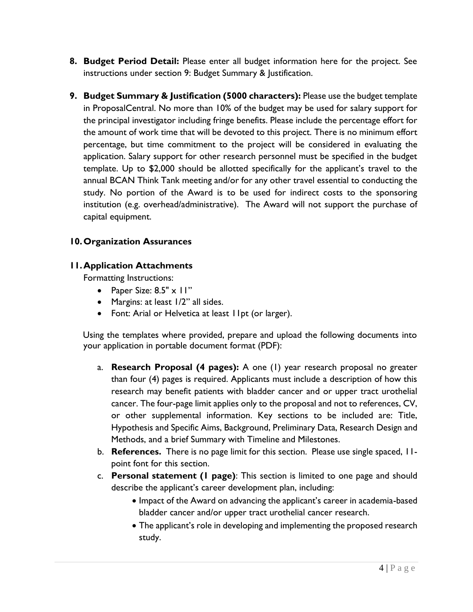- **8. Budget Period Detail:** Please enter all budget information here for the project. See instructions under section 9: Budget Summary & Justification.
- **9. Budget Summary & Justification (5000 characters):** Please use the budget template in ProposalCentral. No more than 10% of the budget may be used for salary support for the principal investigator including fringe benefits. Please include the percentage effort for the amount of work time that will be devoted to this project. There is no minimum effort percentage, but time commitment to the project will be considered in evaluating the application. Salary support for other research personnel must be specified in the budget template. Up to \$2,000 should be allotted specifically for the applicant's travel to the annual BCAN Think Tank meeting and/or for any other travel essential to conducting the study. No portion of the Award is to be used for indirect costs to the sponsoring institution (e.g. overhead/administrative). The Award will not support the purchase of capital equipment.

## **10.Organization Assurances**

## **11.Application Attachments**

Formatting Instructions:

- Paper Size: 8.5" x 11"
- Margins: at least 1/2" all sides.
- Font: Arial or Helvetica at least 11pt (or larger).

Using the templates where provided, prepare and upload the following documents into your application in portable document format (PDF):

- a. **Research Proposal (4 pages):** A one (1) year research proposal no greater than four (4) pages is required. Applicants must include a description of how this research may benefit patients with bladder cancer and or upper tract urothelial cancer. The four-page limit applies only to the proposal and not to references, CV, or other supplemental information. Key sections to be included are: Title, Hypothesis and Specific Aims, Background, Preliminary Data, Research Design and Methods, and a brief Summary with Timeline and Milestones.
- b. **References.** There is no page limit for this section. Please use single spaced, 11 point font for this section.
- c. **Personal statement (1 page)**: This section is limited to one page and should describe the applicant's career development plan, including:
	- Impact of the Award on advancing the applicant's career in academia-based bladder cancer and/or upper tract urothelial cancer research.
	- The applicant's role in developing and implementing the proposed research study.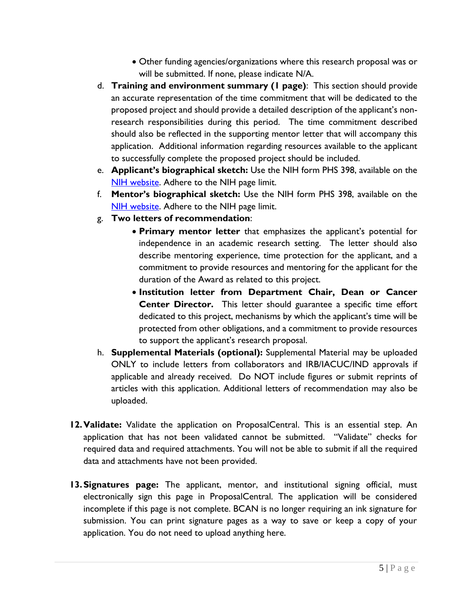- Other funding agencies/organizations where this research proposal was or will be submitted. If none, please indicate N/A.
- d. **Training and environment summary (1 page)**: This section should provide an accurate representation of the time commitment that will be dedicated to the proposed project and should provide a detailed description of the applicant's nonresearch responsibilities during this period. The time commitment described should also be reflected in the supporting mentor letter that will accompany this application. Additional information regarding resources available to the applicant to successfully complete the proposed project should be included.
- e. **Applicant's biographical sketch:** Use the NIH form PHS 398, available on the [NIH website.](https://grants.nih.gov/grants/funding/phs398/phs398.html) Adhere to the NIH page limit.
- f. **Mentor's biographical sketch:** Use the NIH form PHS 398, available on the [NIH website.](https://grants.nih.gov/grants/funding/phs398/phs398.html) Adhere to the NIH page limit.
- g. **Two letters of recommendation**:
	- **Primary mentor letter** that emphasizes the applicant's potential for independence in an academic research setting. The letter should also describe mentoring experience, time protection for the applicant, and a commitment to provide resources and mentoring for the applicant for the duration of the Award as related to this project.
	- **Institution letter from Department Chair, Dean or Cancer Center Director.** This letter should guarantee a specific time effort dedicated to this project, mechanisms by which the applicant's time will be protected from other obligations, and a commitment to provide resources to support the applicant's research proposal.
- h. **Supplemental Materials (optional):** Supplemental Material may be uploaded ONLY to include letters from collaborators and IRB/IACUC/IND approvals if applicable and already received. Do NOT include figures or submit reprints of articles with this application. Additional letters of recommendation may also be uploaded.
- **12.Validate:** Validate the application on ProposalCentral. This is an essential step. An application that has not been validated cannot be submitted. "Validate" checks for required data and required attachments. You will not be able to submit if all the required data and attachments have not been provided.
- **13.Signatures page:** The applicant, mentor, and institutional signing official, must electronically sign this page in ProposalCentral. The application will be considered incomplete if this page is not complete. BCAN is no longer requiring an ink signature for submission. You can print signature pages as a way to save or keep a copy of your application. You do not need to upload anything here.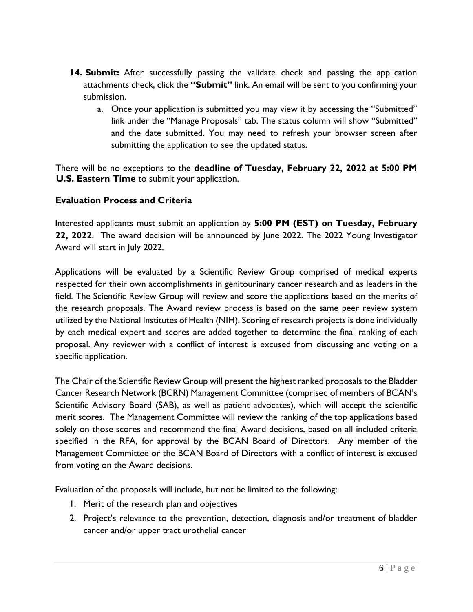- **14. Submit:** After successfully passing the validate check and passing the application attachments check, click the **"Submit"** link. An email will be sent to you confirming your submission.
	- a. Once your application is submitted you may view it by accessing the "Submitted" link under the "Manage Proposals" tab. The status column will show "Submitted" and the date submitted. You may need to refresh your browser screen after submitting the application to see the updated status.

There will be no exceptions to the **deadline of Tuesday, February 22, 2022 at 5:00 PM U.S. Eastern Time** to submit your application.

## **Evaluation Process and Criteria**

Interested applicants must submit an application by **5:00 PM (EST) on Tuesday, February 22, 2022**. The award decision will be announced by June 2022. The 2022 Young Investigator Award will start in July 2022.

Applications will be evaluated by a Scientific Review Group comprised of medical experts respected for their own accomplishments in genitourinary cancer research and as leaders in the field. The Scientific Review Group will review and score the applications based on the merits of the research proposals. The Award review process is based on the same peer review system utilized by the National Institutes of Health (NIH). Scoring of research projects is done individually by each medical expert and scores are added together to determine the final ranking of each proposal. Any reviewer with a conflict of interest is excused from discussing and voting on a specific application.

The Chair of the Scientific Review Group will present the highest ranked proposals to the Bladder Cancer Research Network (BCRN) Management Committee (comprised of members of BCAN's Scientific Advisory Board (SAB), as well as patient advocates), which will accept the scientific merit scores. The Management Committee will review the ranking of the top applications based solely on those scores and recommend the final Award decisions, based on all included criteria specified in the RFA, for approval by the BCAN Board of Directors. Any member of the Management Committee or the BCAN Board of Directors with a conflict of interest is excused from voting on the Award decisions.

Evaluation of the proposals will include, but not be limited to the following:

- 1. Merit of the research plan and objectives
- 2. Project's relevance to the prevention, detection, diagnosis and/or treatment of bladder cancer and/or upper tract urothelial cancer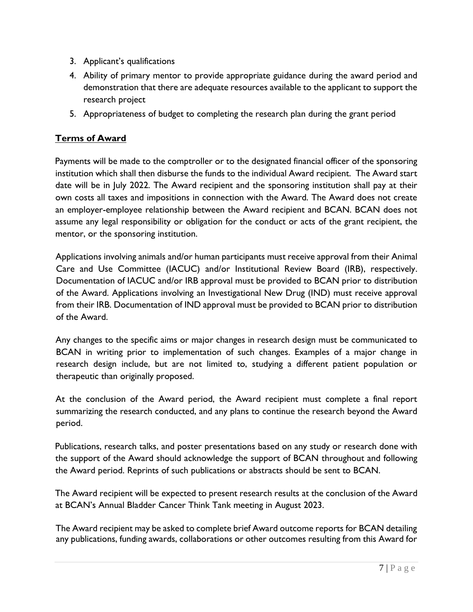- 3. Applicant's qualifications
- 4. Ability of primary mentor to provide appropriate guidance during the award period and demonstration that there are adequate resources available to the applicant to support the research project
- 5. Appropriateness of budget to completing the research plan during the grant period

#### **Terms of Award**

Payments will be made to the comptroller or to the designated financial officer of the sponsoring institution which shall then disburse the funds to the individual Award recipient. The Award start date will be in July 2022. The Award recipient and the sponsoring institution shall pay at their own costs all taxes and impositions in connection with the Award. The Award does not create an employer-employee relationship between the Award recipient and BCAN. BCAN does not assume any legal responsibility or obligation for the conduct or acts of the grant recipient, the mentor, or the sponsoring institution.

Applications involving animals and/or human participants must receive approval from their Animal Care and Use Committee (IACUC) and/or Institutional Review Board (IRB), respectively. Documentation of IACUC and/or IRB approval must be provided to BCAN prior to distribution of the Award. Applications involving an Investigational New Drug (IND) must receive approval from their IRB. Documentation of IND approval must be provided to BCAN prior to distribution of the Award.

Any changes to the specific aims or major changes in research design must be communicated to BCAN in writing prior to implementation of such changes. Examples of a major change in research design include, but are not limited to, studying a different patient population or therapeutic than originally proposed.

At the conclusion of the Award period, the Award recipient must complete a final report summarizing the research conducted, and any plans to continue the research beyond the Award period.

Publications, research talks, and poster presentations based on any study or research done with the support of the Award should acknowledge the support of BCAN throughout and following the Award period. Reprints of such publications or abstracts should be sent to BCAN.

The Award recipient will be expected to present research results at the conclusion of the Award at BCAN's Annual Bladder Cancer Think Tank meeting in August 2023.

The Award recipient may be asked to complete brief Award outcome reports for BCAN detailing any publications, funding awards, collaborations or other outcomes resulting from this Award for